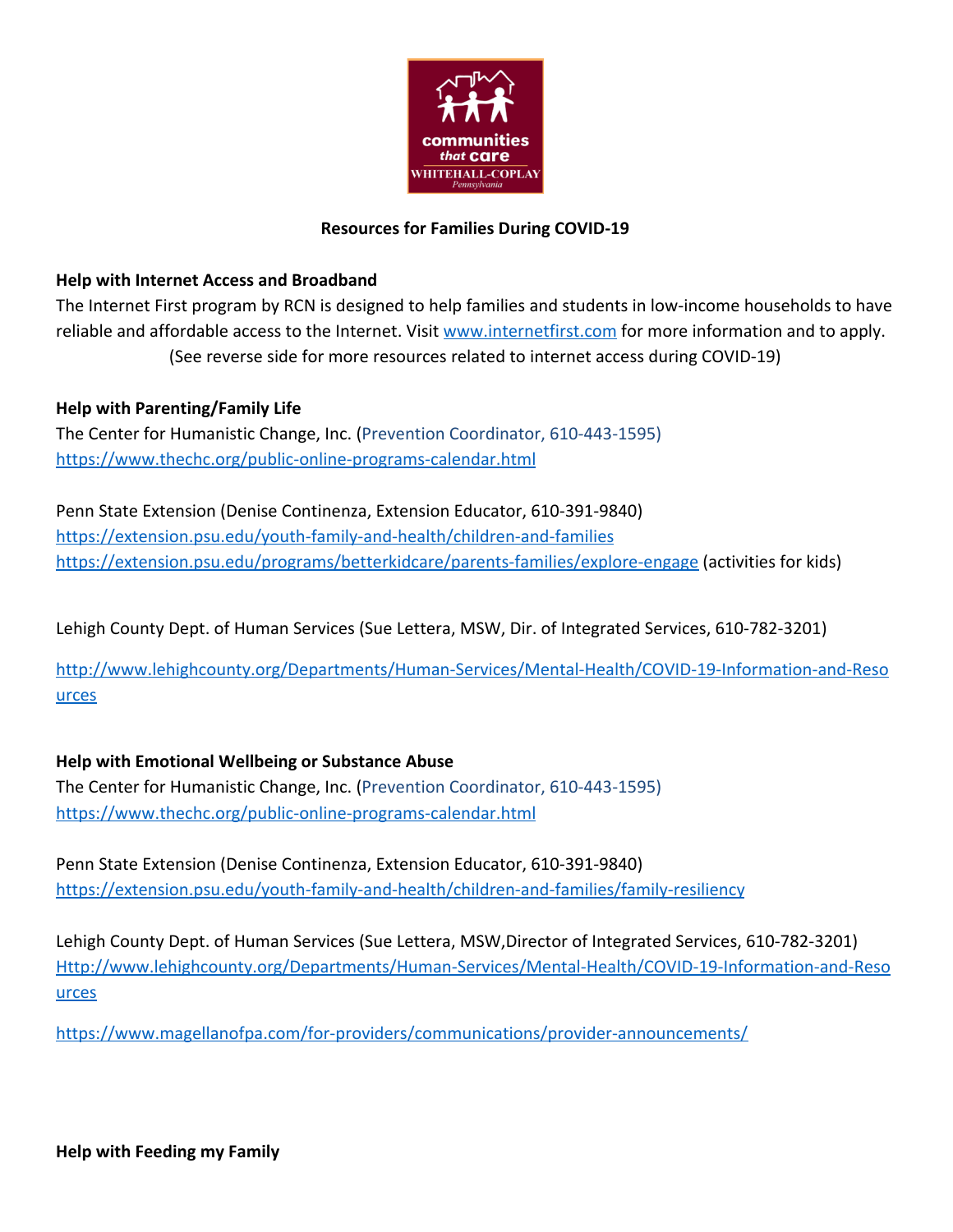

## **Resources for Families During COVID-19**

## **Help with Internet Access and Broadband**

The Internet First program by RCN is designed to help families and students in low-income households to have reliable and affordable access to the Internet. Visit [www.internetfirst.com](http://www.internetfirst.com/) for more information and to apply. (See reverse side for more resources related to internet access during COVID-19)

**Help with Parenting/Family Life**

The Center for Humanistic Change, Inc. (Prevention Coordinator, 610-443-1595) <https://www.thechc.org/public-online-programs-calendar.html>

Penn State Extension (Denise Continenza, Extension Educator, 610-391-9840) <https://extension.psu.edu/youth-family-and-health/children-and-families> <https://extension.psu.edu/programs/betterkidcare/parents-families/explore-engage>(activities for kids)

Lehigh County Dept. of Human Services (Sue Lettera, MSW, Dir. of Integrated Services, 610-782-3201)

[http://www.lehighcounty.org/Departments/Human-Services/Mental-Health/COVID-19-Information-and-Reso](http://www.lehighcounty.org/Departments/Human-Services/Mental-Health/COVID-19-Information-and-Resources) [urces](http://www.lehighcounty.org/Departments/Human-Services/Mental-Health/COVID-19-Information-and-Resources)

## **Help with Emotional Wellbeing or Substance Abuse**

The Center for Humanistic Change, Inc. (Prevention Coordinator, 610-443-1595) <https://www.thechc.org/public-online-programs-calendar.html>

Penn State Extension (Denise Continenza, Extension Educator, 610-391-9840) <https://extension.psu.edu/youth-family-and-health/children-and-families/family-resiliency>

Lehigh County Dept. of Human Services (Sue Lettera, MSW,Director of Integrated Services, 610-782-3201) [Http://www.lehighcounty.org/Departments/Human-Services/Mental-Health/COVID-19-Information-and-Reso](http://www.lehighcounty.org/Departments/Human-Services/Mental-Health/COVID-19-Information-and-Resources) [urces](http://www.lehighcounty.org/Departments/Human-Services/Mental-Health/COVID-19-Information-and-Resources)

<https://www.magellanofpa.com/for-providers/communications/provider-announcements/>

**Help with Feeding my Family**